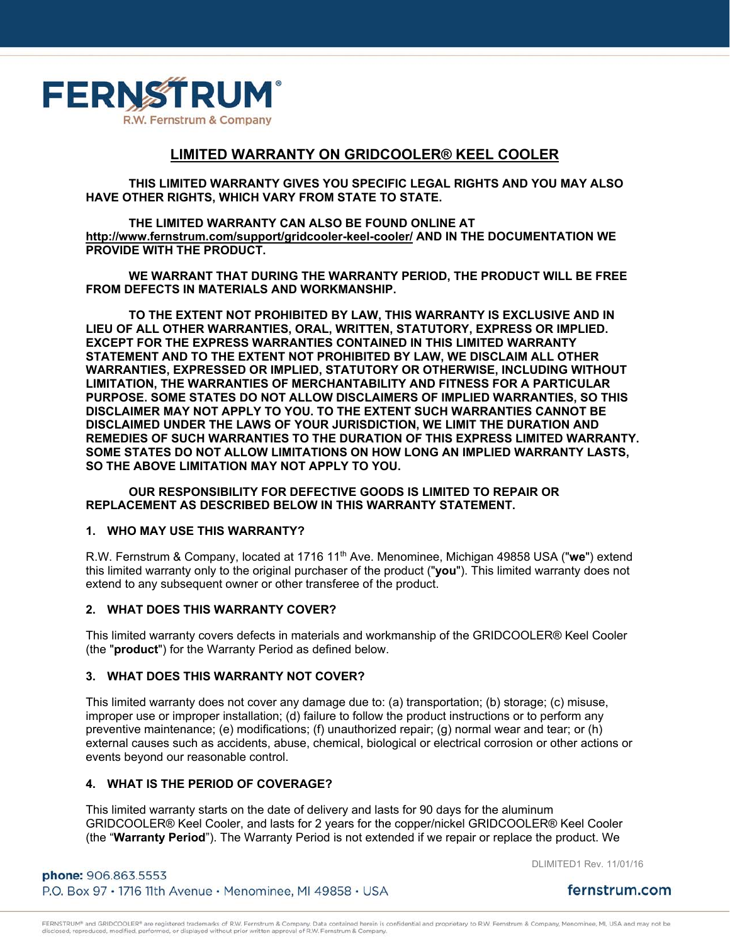

# **LIMITED WARRANTY ON GRIDCOOLER® KEEL COOLER**

**THIS LIMITED WARRANTY GIVES YOU SPECIFIC LEGAL RIGHTS AND YOU MAY ALSO HAVE OTHER RIGHTS, WHICH VARY FROM STATE TO STATE.** 

 **THE LIMITED WARRANTY CAN ALSO BE FOUND ONLINE AT http://www.fernstrum.com/support/gridcooler-keel-cooler/ AND IN THE DOCUMENTATION WE PROVIDE WITH THE PRODUCT.** 

 **WE WARRANT THAT DURING THE WARRANTY PERIOD, THE PRODUCT WILL BE FREE FROM DEFECTS IN MATERIALS AND WORKMANSHIP.** 

**TO THE EXTENT NOT PROHIBITED BY LAW, THIS WARRANTY IS EXCLUSIVE AND IN LIEU OF ALL OTHER WARRANTIES, ORAL, WRITTEN, STATUTORY, EXPRESS OR IMPLIED. EXCEPT FOR THE EXPRESS WARRANTIES CONTAINED IN THIS LIMITED WARRANTY STATEMENT AND TO THE EXTENT NOT PROHIBITED BY LAW, WE DISCLAIM ALL OTHER WARRANTIES, EXPRESSED OR IMPLIED, STATUTORY OR OTHERWISE, INCLUDING WITHOUT LIMITATION, THE WARRANTIES OF MERCHANTABILITY AND FITNESS FOR A PARTICULAR PURPOSE. SOME STATES DO NOT ALLOW DISCLAIMERS OF IMPLIED WARRANTIES, SO THIS DISCLAIMER MAY NOT APPLY TO YOU. TO THE EXTENT SUCH WARRANTIES CANNOT BE DISCLAIMED UNDER THE LAWS OF YOUR JURISDICTION, WE LIMIT THE DURATION AND REMEDIES OF SUCH WARRANTIES TO THE DURATION OF THIS EXPRESS LIMITED WARRANTY. SOME STATES DO NOT ALLOW LIMITATIONS ON HOW LONG AN IMPLIED WARRANTY LASTS, SO THE ABOVE LIMITATION MAY NOT APPLY TO YOU.** 

## **OUR RESPONSIBILITY FOR DEFECTIVE GOODS IS LIMITED TO REPAIR OR REPLACEMENT AS DESCRIBED BELOW IN THIS WARRANTY STATEMENT.**

#### **1. WHO MAY USE THIS WARRANTY?**

R.W. Fernstrum & Company, located at 1716 11th Ave. Menominee, Michigan 49858 USA ("**we**") extend this limited warranty only to the original purchaser of the product ("**you**"). This limited warranty does not extend to any subsequent owner or other transferee of the product.

#### **2. WHAT DOES THIS WARRANTY COVER?**

This limited warranty covers defects in materials and workmanship of the GRIDCOOLER® Keel Cooler (the "**product**") for the Warranty Period as defined below.

## **3. WHAT DOES THIS WARRANTY NOT COVER?**

This limited warranty does not cover any damage due to: (a) transportation; (b) storage; (c) misuse, improper use or improper installation; (d) failure to follow the product instructions or to perform any preventive maintenance; (e) modifications; (f) unauthorized repair; (g) normal wear and tear; or (h) external causes such as accidents, abuse, chemical, biological or electrical corrosion or other actions or events beyond our reasonable control.

## **4. WHAT IS THE PERIOD OF COVERAGE?**

This limited warranty starts on the date of delivery and lasts for 90 days for the aluminum GRIDCOOLER® Keel Cooler, and lasts for 2 years for the copper/nickel GRIDCOOLER® Keel Cooler (the "**Warranty Period**"). The Warranty Period is not extended if we repair or replace the product. We

DLIMITED1 Rev. 11/01/16

phone: 906.863.5553 P.O. Box 97 · 1716 11th Avenue · Menominee, MI 49858 · USA

fernstrum.com